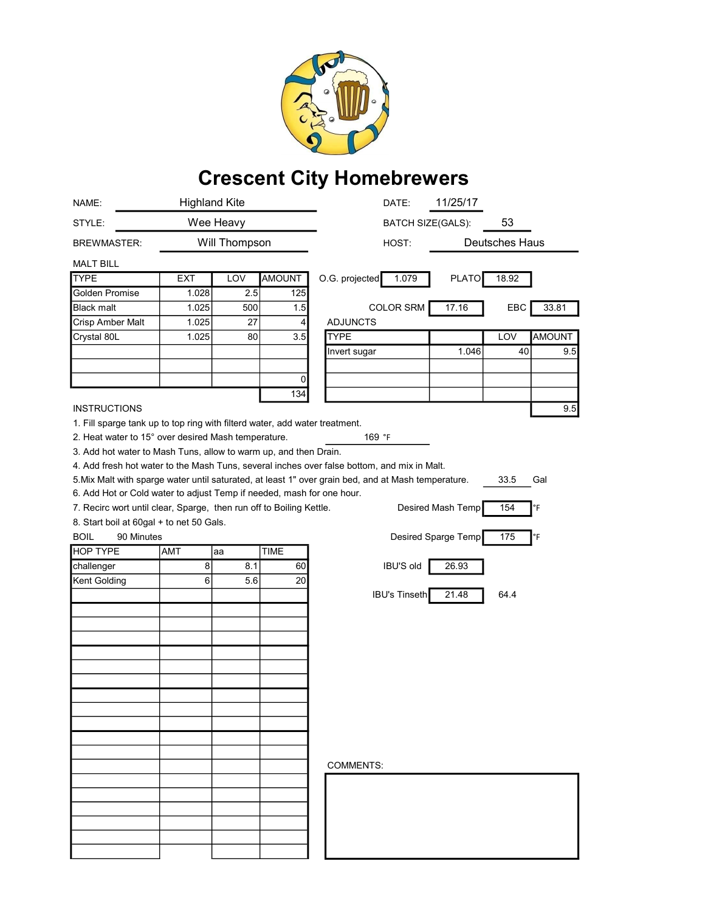

## Crescent City Homebrewers

| NAME:                                                                                                              | <b>Highland Kite</b> |               | DATE:         | 11/25/17                       |                       |
|--------------------------------------------------------------------------------------------------------------------|----------------------|---------------|---------------|--------------------------------|-----------------------|
| STYLE:                                                                                                             | Wee Heavy            |               |               | 53<br><b>BATCH SIZE(GALS):</b> |                       |
| <b>BREWMASTER:</b>                                                                                                 |                      | Will Thompson |               | HOST:                          | Deutsches Haus        |
| <b>MALT BILL</b>                                                                                                   |                      |               |               |                                |                       |
| <b>TYPE</b>                                                                                                        | <b>EXT</b>           | LOV           | <b>AMOUNT</b> | O.G. projected<br>1.079        | <b>PLATO</b><br>18.92 |
| Golden Promise                                                                                                     | 1.028                | 2.5           | 125           |                                |                       |
| <b>Black malt</b>                                                                                                  | 1.025                | 500           | 1.5           | <b>COLOR SRM</b>               | 17.16<br>EBC<br>33.81 |
| Crisp Amber Malt                                                                                                   | 1.025                | 27            | 4             | <b>ADJUNCTS</b>                |                       |
| Crystal 80L                                                                                                        | 1.025                | 80            | 3.5           | <b>TYPE</b>                    | <b>AMOUNT</b><br>LOV  |
|                                                                                                                    |                      |               |               | Invert sugar                   | 1.046<br>40<br>9.5    |
|                                                                                                                    |                      |               |               |                                |                       |
|                                                                                                                    |                      |               | 0             |                                |                       |
|                                                                                                                    |                      |               | 134           |                                |                       |
| <b>INSTRUCTIONS</b><br>9.5                                                                                         |                      |               |               |                                |                       |
| 1. Fill sparge tank up to top ring with filterd water, add water treatment.                                        |                      |               |               |                                |                       |
| 2. Heat water to 15° over desired Mash temperature.<br>169 °F                                                      |                      |               |               |                                |                       |
| 3. Add hot water to Mash Tuns, allow to warm up, and then Drain.                                                   |                      |               |               |                                |                       |
| 4. Add fresh hot water to the Mash Tuns, several inches over false bottom, and mix in Malt.                        |                      |               |               |                                |                       |
| 5. Mix Malt with sparge water until saturated, at least 1" over grain bed, and at Mash temperature.<br>33.5<br>Gal |                      |               |               |                                |                       |
| 6. Add Hot or Cold water to adjust Temp if needed, mash for one hour.                                              |                      |               |               |                                |                       |
| Desired Mash Temp<br>154<br>7. Recirc wort until clear, Sparge, then run off to Boiling Kettle.<br>°F              |                      |               |               |                                |                       |
| 8. Start boil at 60gal + to net 50 Gals.                                                                           |                      |               |               |                                |                       |
| <b>BOIL</b><br>90 Minutes<br>Desired Sparge Temp<br>175<br>°F                                                      |                      |               |               |                                |                       |
| <b>HOP TYPE</b>                                                                                                    | AMT                  | aa            | <b>TIME</b>   |                                |                       |
| challenger                                                                                                         | 8                    | 8.1           | 60            | <b>IBU'S old</b>               | 26.93                 |
| Kent Golding                                                                                                       | 6                    | 5.6           | 20            |                                |                       |
|                                                                                                                    |                      |               |               | <b>IBU's Tinseth</b>           | 21.48<br>64.4         |
|                                                                                                                    |                      |               |               |                                |                       |
|                                                                                                                    |                      |               |               |                                |                       |
|                                                                                                                    |                      |               |               |                                |                       |
|                                                                                                                    |                      |               |               |                                |                       |
|                                                                                                                    |                      |               |               |                                |                       |
|                                                                                                                    |                      |               |               |                                |                       |
|                                                                                                                    |                      |               |               |                                |                       |
|                                                                                                                    |                      |               |               |                                |                       |
|                                                                                                                    |                      |               |               |                                |                       |
|                                                                                                                    |                      |               |               |                                |                       |
|                                                                                                                    |                      |               |               |                                |                       |
|                                                                                                                    |                      |               |               | <b>COMMENTS:</b>               |                       |
|                                                                                                                    |                      |               |               |                                |                       |
|                                                                                                                    |                      |               |               |                                |                       |
|                                                                                                                    |                      |               |               |                                |                       |
|                                                                                                                    |                      |               |               |                                |                       |
|                                                                                                                    |                      |               |               |                                |                       |
|                                                                                                                    |                      |               |               |                                |                       |
|                                                                                                                    |                      |               |               |                                |                       |